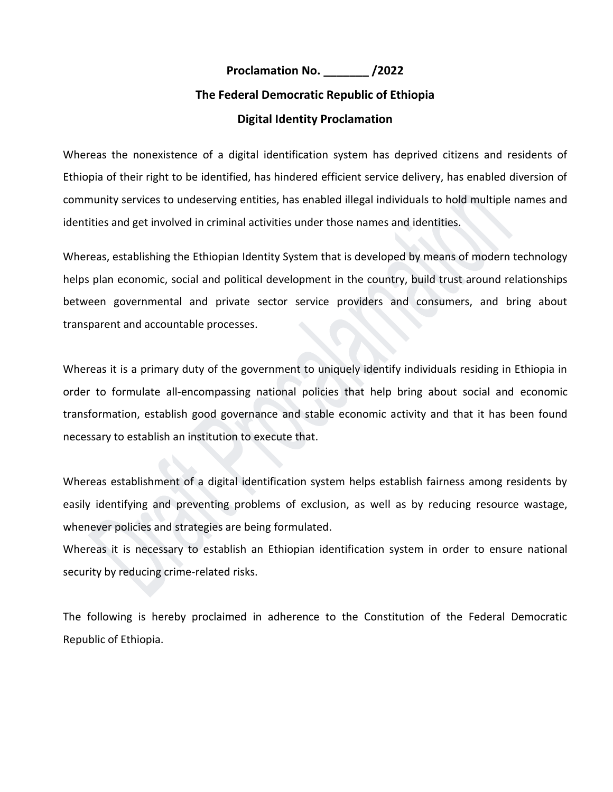**Proclamation No. \_\_\_\_\_\_\_ /2022**

# **The Federal Democratic Republic of Ethiopia Digital Identity Proclamation**

Whereas the nonexistence of a digital identification system has deprived citizens and residents of Ethiopia of their right to be identified, has hindered efficient service delivery, has enabled diversion of community services to undeserving entities, has enabled illegal individuals to hold multiple names and identities and get involved in criminal activities under those names and identities.

Whereas, establishing the Ethiopian Identity System that is developed by means of modern technology helps plan economic, social and political development in the country, build trust around relationships between governmental and private sector service providers and consumers, and bring about transparent and accountable processes.

Whereas it is a primary duty of the government to uniquely identify individuals residing in Ethiopia in order to formulate all-encompassing national policies that help bring about social and economic transformation, establish good governance and stable economic activity and that it has been found necessary to establish an institution to execute that.

Whereas establishment of a digital identification system helps establish fairness among residents by easily identifying and preventing problems of exclusion, as well as by reducing resource wastage, whenever policies and strategies are being formulated.

Whereas it is necessary to establish an Ethiopian identification system in order to ensure national security by reducing crime-related risks.

The following is hereby proclaimed in adherence to the Constitution of the Federal Democratic Republic of Ethiopia.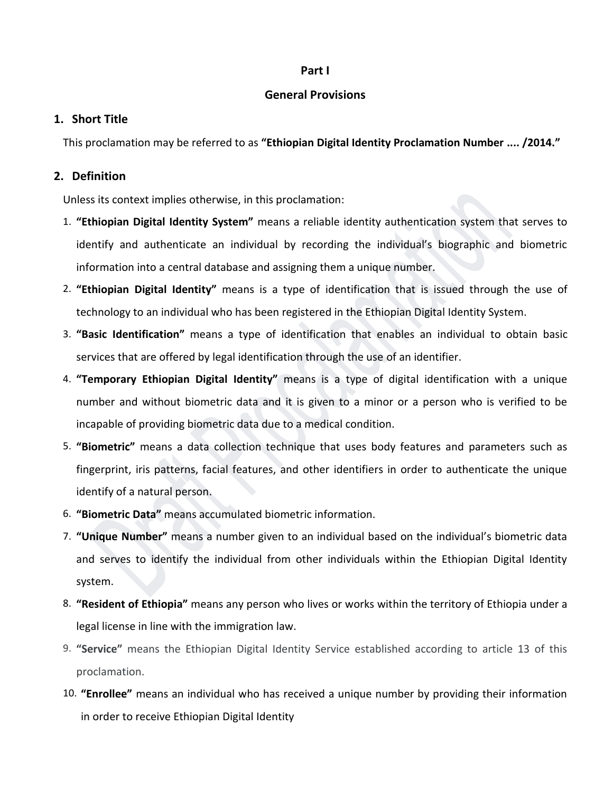### **Part I**

### **General Provisions**

### **1. Short Title**

This proclamation may be referred to as **"Ethiopian Digital Identity Proclamation Number .... /2014."**

### **2. Definition**

Unless its context implies otherwise, in this proclamation:

- 1. **"Ethiopian Digital Identity System"** means a reliable identity authentication system that serves to identify and authenticate an individual by recording the individual's biographic and biometric information into a central database and assigning them a unique number.
- 2. **"Ethiopian Digital Identity"** means is a type of identification that is issued through the use of technology to an individual who has been registered in the Ethiopian Digital Identity System.
- 3. **"Basic Identification"** means a type of identification that enables an individual to obtain basic services that are offered by legal identification through the use of an identifier.
- 4. **"Temporary Ethiopian Digital Identity"** means is a type of digital identification with a unique number and without biometric data and it is given to a minor or a person who is verified to be incapable of providing biometric data due to a medical condition.
- 5. **"Biometric"** means a data collection technique that uses body features and parameters such as fingerprint, iris patterns, facial features, and other identifiers in order to authenticate the unique identify of a natural person.
- 6. **"Biometric Data"** means accumulated biometric information.
- 7. **"Unique Number"** means a number given to an individual based on the individual's biometric data and serves to identify the individual from other individuals within the Ethiopian Digital Identity system.
- 8. **"Resident of Ethiopia"** means any person who lives or works within the territory of Ethiopia under a legal license in line with the immigration law.
- 9. **"Service"** means the Ethiopian Digital Identity Service established according to article 13 of this proclamation.
- 10. **"Enrollee"** means an individual who has received a unique number by providing their information in order to receive Ethiopian Digital Identity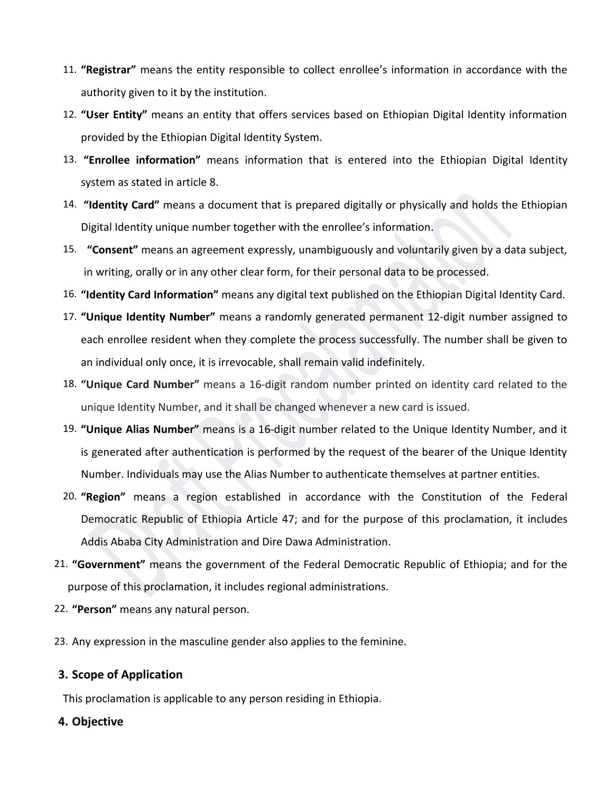- 11. **"Registrar"** means the entity responsible to collect enrollee's information in accordance with the authority given to it by the institution.
- 12. **"User Entity"** means an entity that offers services based on Ethiopian Digital Identity information provided by the Ethiopian Digital Identity System.
- 13. **"Enrollee information"** means information that is entered into the Ethiopian Digital Identity system as stated in article 8.
- 14. **"Identity Card"** means a document that is prepared digitally or physically and holds the Ethiopian Digital Identity unique number together with the enrollee's information.
- 15. **"Consent"** means an agreement expressly, unambiguously and voluntarily given by a data subject, in writing, orally or in any other clear form, for their personal data to be processed.
- 16. **"Identity Card Information"** means any digital text published on the Ethiopian Digital Identity Card.
- 17. **"Unique Identity Number"** means a randomly generated permanent 12-digit number assigned to each enrollee resident when they complete the process successfully. The number shall be given to an individual only once, it is irrevocable, shall remain valid indefinitely.
- 18. **"Unique Card Number"** means a 16-digit random number printed on identity card related to the unique Identity Number, and it shall be changed whenever a new card is issued.
- 19. **"Unique Alias Number"** means is a 16-digit number related to the Unique Identity Number, and it is generated after authentication is performed by the request of the bearer of the Unique Identity Number. Individuals may use the Alias Number to authenticate themselves at partner entities.
- 20. **"Region"** means a region established in accordance with the Constitution of the Federal Democratic Republic of Ethiopia Article 47; and for the purpose of this proclamation, it includes Addis Ababa City Administration and Dire Dawa Administration.
- 21. **"Government"** means the government of the Federal Democratic Republic of Ethiopia; and for the purpose of this proclamation, it includes regional administrations.
- 22. **"Person"** means any natural person.
- 23. Any expression in the masculine gender also applies to the feminine.

### **3. Scope of Application**

This proclamation is applicable to any person residing in Ethiopia.

### **4. Objective**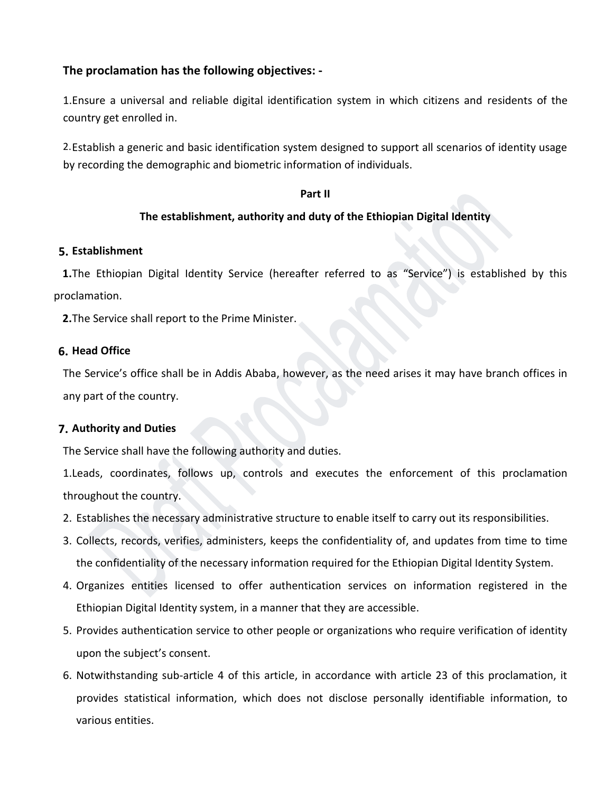# **The proclamation has the following objectives: -**

1.Ensure a universal and reliable digital identification system in which citizens and residents of the country get enrolled in.

2.Establish a generic and basic identification system designed to support all scenarios of identity usage by recording the demographic and biometric information of individuals.

#### **Part II**

### **The establishment, authority and duty of the Ethiopian Digital Identity**

### **5. Establishment**

**1.**The Ethiopian Digital Identity Service (hereafter referred to as "Service") is established by this proclamation.

**2.**The Service shall report to the Prime Minister.

### **6. Head Office**

The Service's office shall be in Addis Ababa, however, as the need arises it may have branch offices in any part of the country.

### **7. Authority and Duties**

The Service shall have the following authority and duties.

1.Leads, coordinates, follows up, controls and executes the enforcement of this proclamation throughout the country.

- 2. Establishes the necessary administrative structure to enable itself to carry out its responsibilities.
- 3. Collects, records, verifies, administers, keeps the confidentiality of, and updates from time to time the confidentiality of the necessary information required for the Ethiopian Digital Identity System.
- 4. Organizes entities licensed to offer authentication services on information registered in the Ethiopian Digital Identity system, in a manner that they are accessible.
- 5. Provides authentication service to other people or organizations who require verification of identity upon the subject's consent.
- 6. Notwithstanding sub-article 4 of this article, in accordance with article 23 of this proclamation, it provides statistical information, which does not disclose personally identifiable information, to various entities.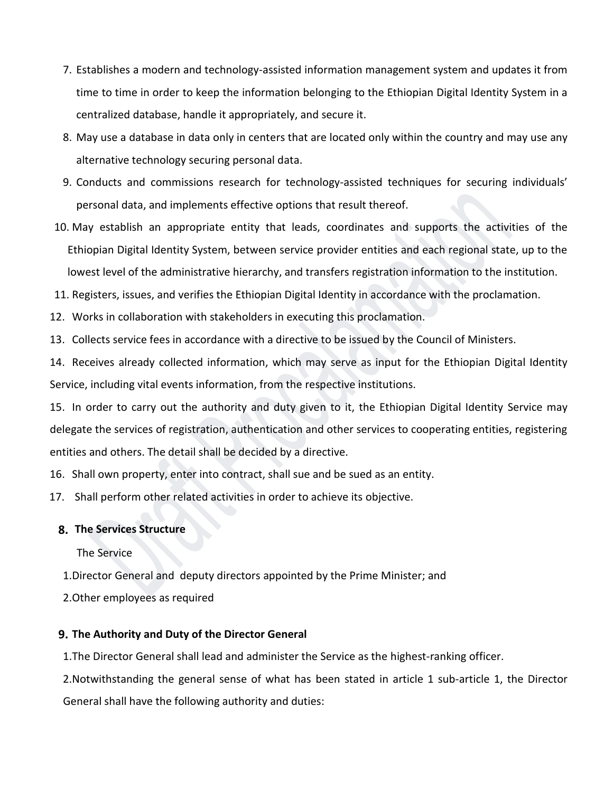- 7. Establishes a modern and technology-assisted information management system and updates it from time to time in order to keep the information belonging to the Ethiopian Digital Identity System in a centralized database, handle it appropriately, and secure it.
- 8. May use a database in data only in centers that are located only within the country and may use any alternative technology securing personal data.
- 9. Conducts and commissions research for technology-assisted techniques for securing individuals' personal data, and implements effective options that result thereof.
- 10. May establish an appropriate entity that leads, coordinates and supports the activities of the Ethiopian Digital Identity System, between service provider entities and each regional state, up to the lowest level of the administrative hierarchy, and transfers registration information to the institution.
- 11. Registers, issues, and verifies the Ethiopian Digital Identity in accordance with the proclamation.
- 12. Works in collaboration with stakeholders in executing this proclamation.
- 13. Collects service fees in accordance with a directive to be issued by the Council of Ministers.

14. Receives already collected information, which may serve as input for the Ethiopian Digital Identity Service, including vital events information, from the respective institutions.

15. In order to carry out the authority and duty given to it, the Ethiopian Digital Identity Service may delegate the services of registration, authentication and other services to cooperating entities, registering entities and others. The detail shall be decided by a directive.

- 16. Shall own property, enter into contract, shall sue and be sued as an entity.
- 17. Shall perform other related activities in order to achieve its objective.

### **8. The Services Structure**

The Service

- 1.Director General and deputy directors appointed by the Prime Minister; and
- 2.Other employees as required

### **9. The Authority and Duty of the Director General**

1.The Director General shall lead and administer the Service as the highest-ranking officer.

2.Notwithstanding the general sense of what has been stated in article 1 sub-article 1, the Director General shall have the following authority and duties: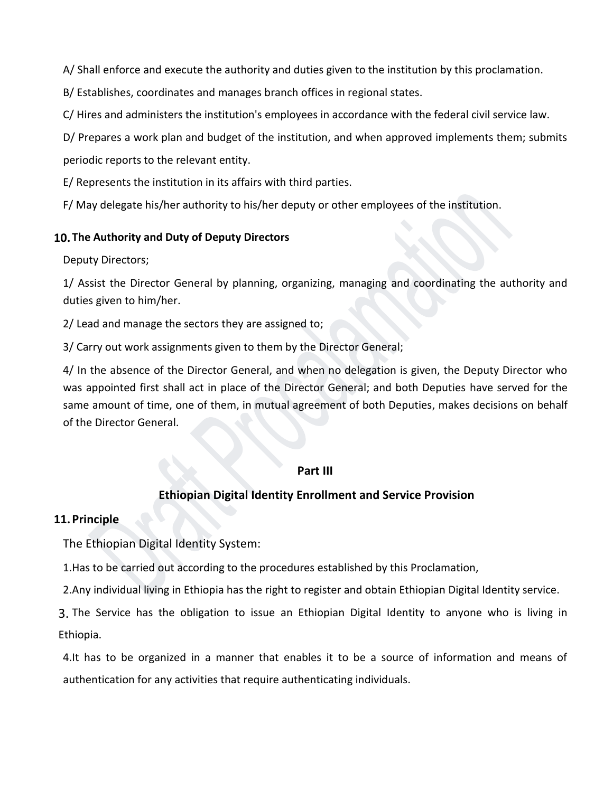A/ Shall enforce and execute the authority and duties given to the institution by this proclamation.

B/ Establishes, coordinates and manages branch offices in regional states.

C/ Hires and administers the institution's employees in accordance with the federal civil service law.

D/ Prepares a work plan and budget of the institution, and when approved implements them; submits

periodic reports to the relevant entity.

E/ Represents the institution in its affairs with third parties.

F/ May delegate his/her authority to his/her deputy or other employees of the institution.

# **10. The Authority and Duty of Deputy Directors**

Deputy Directors;

1/ Assist the Director General by planning, organizing, managing and coordinating the authority and duties given to him/her.

2/ Lead and manage the sectors they are assigned to;

3/ Carry out work assignments given to them by the Director General;

4/ In the absence of the Director General, and when no delegation is given, the Deputy Director who was appointed first shall act in place of the Director General; and both Deputies have served for the same amount of time, one of them, in mutual agreement of both Deputies, makes decisions on behalf of the Director General.

### **Part III**

# **Ethiopian Digital Identity Enrollment and Service Provision**

### **11.Principle**

The Ethiopian Digital Identity System:

1.Has to be carried out according to the procedures established by this Proclamation,

2.Any individual living in Ethiopia has the right to register and obtain Ethiopian Digital Identity service.

3. The Service has the obligation to issue an Ethiopian Digital Identity to anyone who is living in Ethiopia.

4.It has to be organized in a manner that enables it to be a source of information and means of authentication for any activities that require authenticating individuals.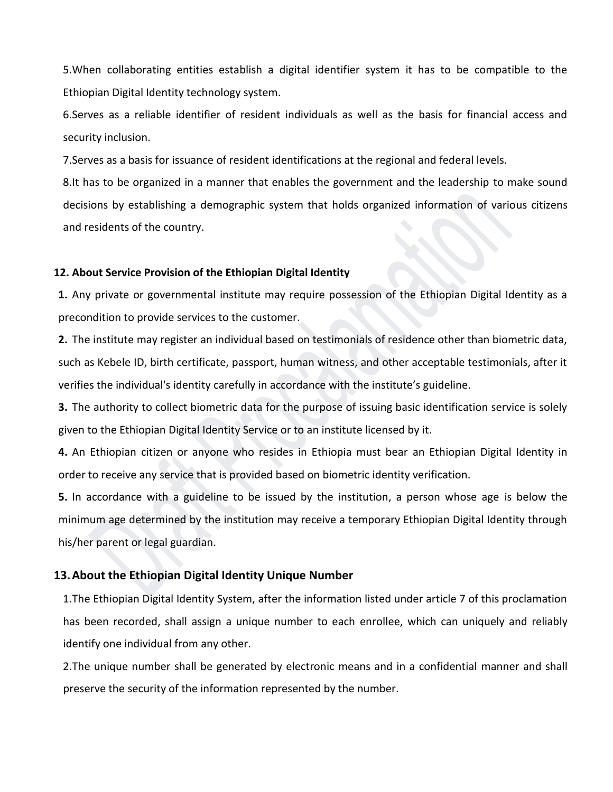5.When collaborating entities establish a digital identifier system it has to be compatible to the Ethiopian Digital Identity technology system.

6.Serves as a reliable identifier of resident individuals as well as the basis for financial access and security inclusion.

7.Serves as a basis for issuance of resident identifications at the regional and federal levels.

8.It has to be organized in a manner that enables the government and the leadership to make sound decisions by establishing a demographic system that holds organized information of various citizens and residents of the country.

#### **12. About Service Provision of the Ethiopian Digital Identity**

**1.** Any private or governmental institute may require possession of the Ethiopian Digital Identity as a precondition to provide services to the customer.

**2.** The institute may register an individual based on testimonials of residence other than biometric data, such as Kebele ID, birth certificate, passport, human witness, and other acceptable testimonials, after it verifies the individual's identity carefully in accordance with the institute's guideline.

**3.** The authority to collect biometric data for the purpose of issuing basic identification service is solely given to the Ethiopian Digital Identity Service or to an institute licensed by it.

**4.** An Ethiopian citizen or anyone who resides in Ethiopia must bear an Ethiopian Digital Identity in order to receive any service that is provided based on biometric identity verification.

**5.** In accordance with a guideline to be issued by the institution, a person whose age is below the minimum age determined by the institution may receive a temporary Ethiopian Digital Identity through his/her parent or legal guardian.

#### **13.About the Ethiopian Digital Identity Unique Number**

1.The Ethiopian Digital Identity System, after the information listed under article 7 of this proclamation has been recorded, shall assign a unique number to each enrollee, which can uniquely and reliably identify one individual from any other.

2.The unique number shall be generated by electronic means and in a confidential manner and shall preserve the security of the information represented by the number.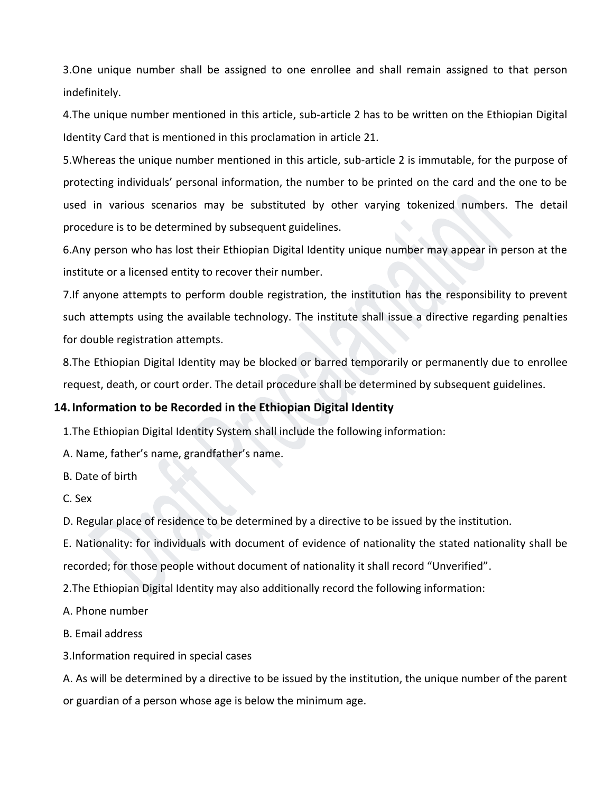3.One unique number shall be assigned to one enrollee and shall remain assigned to that person indefinitely.

4.The unique number mentioned in this article, sub-article 2 has to be written on the Ethiopian Digital Identity Card that is mentioned in this proclamation in article 21.

5.Whereas the unique number mentioned in this article, sub-article 2 is immutable, for the purpose of protecting individuals' personal information, the number to be printed on the card and the one to be used in various scenarios may be substituted by other varying tokenized numbers. The detail procedure is to be determined by subsequent guidelines.

6.Any person who has lost their Ethiopian Digital Identity unique number may appear in person at the institute or a licensed entity to recover their number.

7.If anyone attempts to perform double registration, the institution has the responsibility to prevent such attempts using the available technology. The institute shall issue a directive regarding penalties for double registration attempts.

8.The Ethiopian Digital Identity may be blocked or barred temporarily or permanently due to enrollee request, death, or court order. The detail procedure shall be determined by subsequent guidelines.

### **14.Information to be Recorded in the Ethiopian Digital Identity**

1.The Ethiopian Digital Identity System shall include the following information:

A. Name, father's name, grandfather's name.

B. Date of birth

C. Sex

D. Regular place of residence to be determined by a directive to be issued by the institution.

E. Nationality: for individuals with document of evidence of nationality the stated nationality shall be recorded; for those people without document of nationality it shall record "Unverified".

2.The Ethiopian Digital Identity may also additionally record the following information:

A. Phone number

B. Email address

3.Information required in special cases

A. As will be determined by a directive to be issued by the institution, the unique number of the parent or guardian of a person whose age is below the minimum age.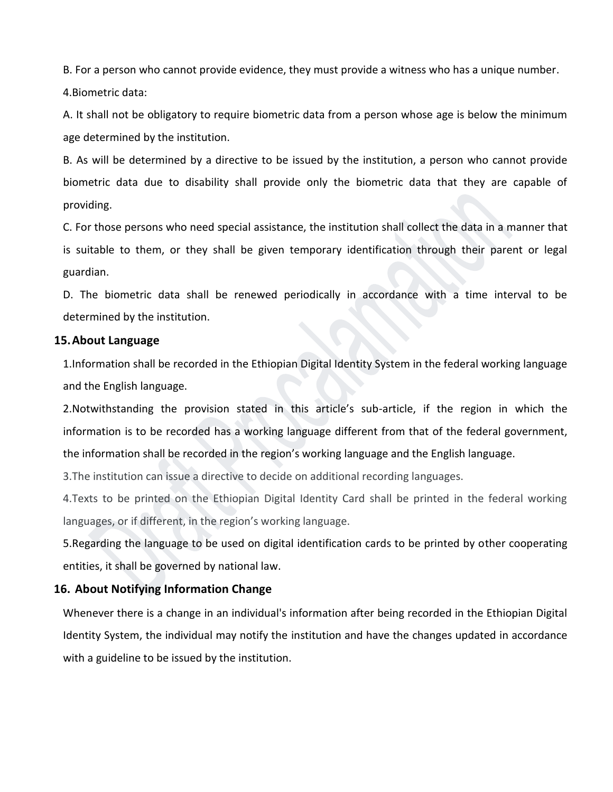B. For a person who cannot provide evidence, they must provide a witness who has a unique number. 4.Biometric data:

A. It shall not be obligatory to require biometric data from a person whose age is below the minimum age determined by the institution.

B. As will be determined by a directive to be issued by the institution, a person who cannot provide biometric data due to disability shall provide only the biometric data that they are capable of providing.

C. For those persons who need special assistance, the institution shall collect the data in a manner that is suitable to them, or they shall be given temporary identification through their parent or legal guardian.

D. The biometric data shall be renewed periodically in accordance with a time interval to be determined by the institution.

### **15.About Language**

1.Information shall be recorded in the Ethiopian Digital Identity System in the federal working language and the English language.

2.Notwithstanding the provision stated in this article's sub-article, if the region in which the information is to be recorded has a working language different from that of the federal government, the information shall be recorded in the region's working language and the English language.

3.The institution can issue a directive to decide on additional recording languages.

4.Texts to be printed on the Ethiopian Digital Identity Card shall be printed in the federal working languages, or if different, in the region's working language.

5.Regarding the language to be used on digital identification cards to be printed by other cooperating entities, it shall be governed by national law.

#### **16. About Notifying Information Change**

Whenever there is a change in an individual's information after being recorded in the Ethiopian Digital Identity System, the individual may notify the institution and have the changes updated in accordance with a guideline to be issued by the institution.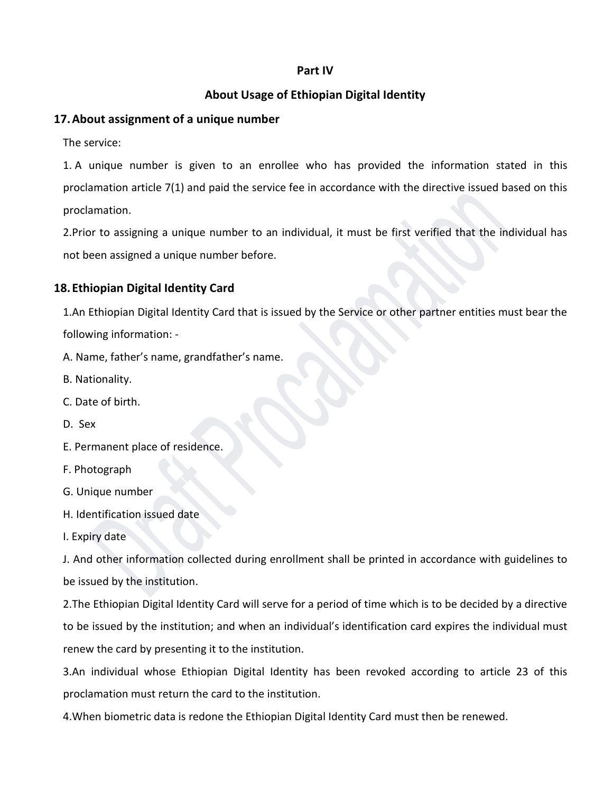# **Part IV**

# **About Usage of Ethiopian Digital Identity**

# **17.About assignment of a unique number**

The service:

1. A unique number is given to an enrollee who has provided the information stated in this proclamation article 7(1) and paid the service fee in accordance with the directive issued based on this proclamation.

2.Prior to assigning a unique number to an individual, it must be first verified that the individual has not been assigned a unique number before.

# **18. Ethiopian Digital Identity Card**

1.An Ethiopian Digital Identity Card that is issued by the Service or other partner entities must bear the following information: -

- A. Name, father's name, grandfather's name.
- B. Nationality.
- C. Date of birth.
- D. Sex
- E. Permanent place of residence.
- F. Photograph
- G. Unique number
- H. Identification issued date
- I. Expiry date

J. And other information collected during enrollment shall be printed in accordance with guidelines to be issued by the institution.

2.The Ethiopian Digital Identity Card will serve for a period of time which is to be decided by a directive to be issued by the institution; and when an individual's identification card expires the individual must renew the card by presenting it to the institution.

3.An individual whose Ethiopian Digital Identity has been revoked according to article 23 of this proclamation must return the card to the institution.

4.When biometric data is redone the Ethiopian Digital Identity Card must then be renewed.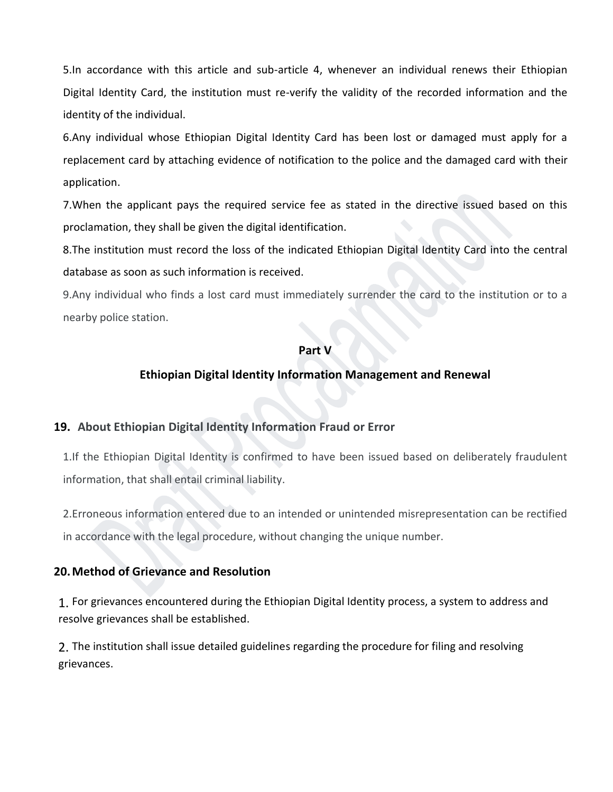5.In accordance with this article and sub-article 4, whenever an individual renews their Ethiopian Digital Identity Card, the institution must re-verify the validity of the recorded information and the identity of the individual.

6.Any individual whose Ethiopian Digital Identity Card has been lost or damaged must apply for a replacement card by attaching evidence of notification to the police and the damaged card with their application.

7.When the applicant pays the required service fee as stated in the directive issued based on this proclamation, they shall be given the digital identification.

8.The institution must record the loss of the indicated Ethiopian Digital Identity Card into the central database as soon as such information is received.

9.Any individual who finds a lost card must immediately surrender the card to the institution or to a nearby police station.

### **Part V**

# **Ethiopian Digital Identity Information Management and Renewal**

# **19. About Ethiopian Digital Identity Information Fraud or Error**

1.If the Ethiopian Digital Identity is confirmed to have been issued based on deliberately fraudulent information, that shall entail criminal liability.

2.Erroneous information entered due to an intended or unintended misrepresentation can be rectified in accordance with the legal procedure, without changing the unique number.

### **20.Method of Grievance and Resolution**

1. For grievances encountered during the Ethiopian Digital Identity process, a system to address and resolve grievances shall be established.

2. The institution shall issue detailed guidelines regarding the procedure for filing and resolving grievances.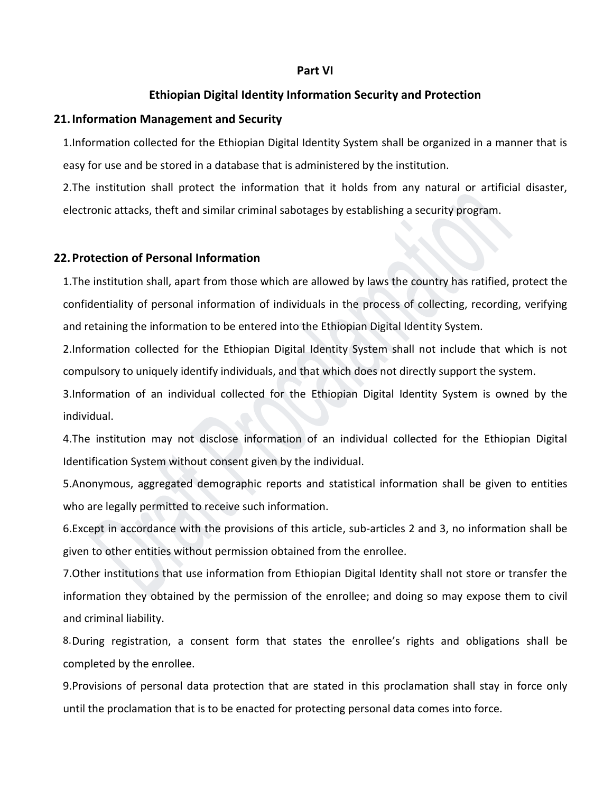#### **Part VI**

### **Ethiopian Digital Identity Information Security and Protection**

#### **21.Information Management and Security**

1.Information collected for the Ethiopian Digital Identity System shall be organized in a manner that is easy for use and be stored in a database that is administered by the institution.

2.The institution shall protect the information that it holds from any natural or artificial disaster, electronic attacks, theft and similar criminal sabotages by establishing a security program.

### **22.Protection of Personal Information**

1.The institution shall, apart from those which are allowed by laws the country has ratified, protect the confidentiality of personal information of individuals in the process of collecting, recording, verifying and retaining the information to be entered into the Ethiopian Digital Identity System.

2.Information collected for the Ethiopian Digital Identity System shall not include that which is not compulsory to uniquely identify individuals, and that which does not directly support the system.

3.Information of an individual collected for the Ethiopian Digital Identity System is owned by the individual.

4.The institution may not disclose information of an individual collected for the Ethiopian Digital Identification System without consent given by the individual.

5.Anonymous, aggregated demographic reports and statistical information shall be given to entities who are legally permitted to receive such information.

6.Except in accordance with the provisions of this article, sub-articles 2 and 3, no information shall be given to other entities without permission obtained from the enrollee.

7.Other institutions that use information from Ethiopian Digital Identity shall not store or transfer the information they obtained by the permission of the enrollee; and doing so may expose them to civil and criminal liability.

8.During registration, a consent form that states the enrollee's rights and obligations shall be completed by the enrollee.

9.Provisions of personal data protection that are stated in this proclamation shall stay in force only until the proclamation that is to be enacted for protecting personal data comes into force.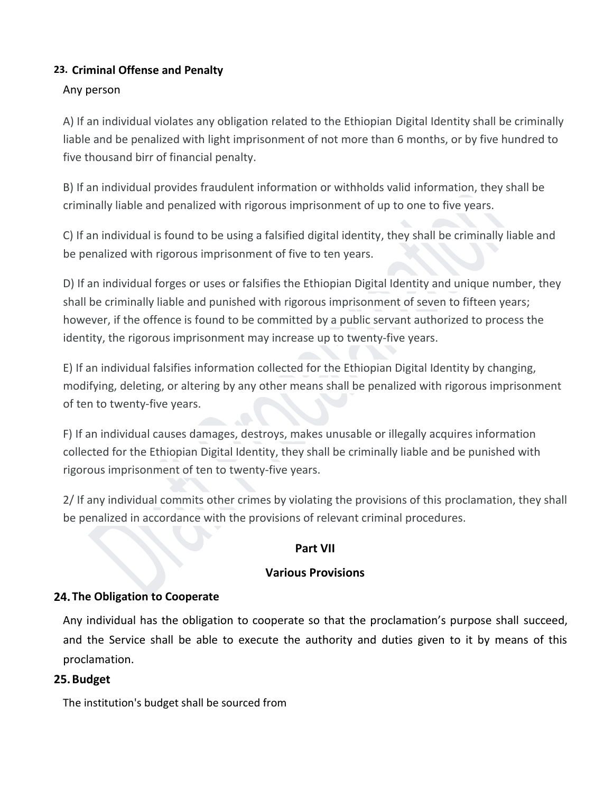# **23. Criminal Offense and Penalty**

# Any person

A) If an individual violates any obligation related to the Ethiopian Digital Identity shall be criminally liable and be penalized with light imprisonment of not more than 6 months, or by five hundred to five thousand birr of financial penalty.

B) If an individual provides fraudulent information or withholds valid information, they shall be criminally liable and penalized with rigorous imprisonment of up to one to five years.

C) If an individual is found to be using a falsified digital identity, they shall be criminally liable and be penalized with rigorous imprisonment of five to ten years.

D) If an individual forges or uses or falsifies the Ethiopian Digital Identity and unique number, they shall be criminally liable and punished with rigorous imprisonment of seven to fifteen years; however, if the offence is found to be committed by a public servant authorized to process the identity, the rigorous imprisonment may increase up to twenty-five years.

E) If an individual falsifies information collected for the Ethiopian Digital Identity by changing, modifying, deleting, or altering by any other means shall be penalized with rigorous imprisonment of ten to twenty-five years.

F) If an individual causes damages, destroys, makes unusable or illegally acquires information collected for the Ethiopian Digital Identity, they shall be criminally liable and be punished with rigorous imprisonment of ten to twenty-five years.

2/ If any individual commits other crimes by violating the provisions of this proclamation, they shall be penalized in accordance with the provisions of relevant criminal procedures.

# **Part VII**

# **Various Provisions**

# **24. The Obligation to Cooperate**

Any individual has the obligation to cooperate so that the proclamation's purpose shall succeed, and the Service shall be able to execute the authority and duties given to it by means of this proclamation.

# **25.Budget**

The institution's budget shall be sourced from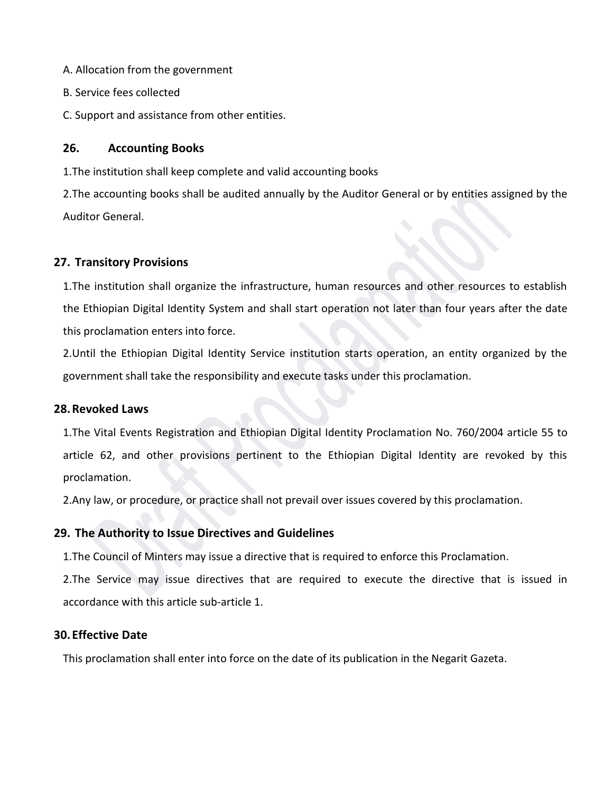- A. Allocation from the government
- B. Service fees collected
- C. Support and assistance from other entities.

### **26. Accounting Books**

1.The institution shall keep complete and valid accounting books

2.The accounting books shall be audited annually by the Auditor General or by entities assigned by the Auditor General.

### **27. Transitory Provisions**

1.The institution shall organize the infrastructure, human resources and other resources to establish the Ethiopian Digital Identity System and shall start operation not later than four years after the date this proclamation enters into force.

2.Until the Ethiopian Digital Identity Service institution starts operation, an entity organized by the government shall take the responsibility and execute tasks under this proclamation.

#### **28.Revoked Laws**

1.The Vital Events Registration and Ethiopian Digital Identity Proclamation No. 760/2004 article 55 to article 62, and other provisions pertinent to the Ethiopian Digital Identity are revoked by this proclamation.

2.Any law, or procedure, or practice shall not prevail over issues covered by this proclamation.

### **29. The Authority to Issue Directives and Guidelines**

1.The Council of Minters may issue a directive that is required to enforce this Proclamation.

2.The Service may issue directives that are required to execute the directive that is issued in accordance with this article sub-article 1.

### **30. Effective Date**

This proclamation shall enter into force on the date of its publication in the Negarit Gazeta.